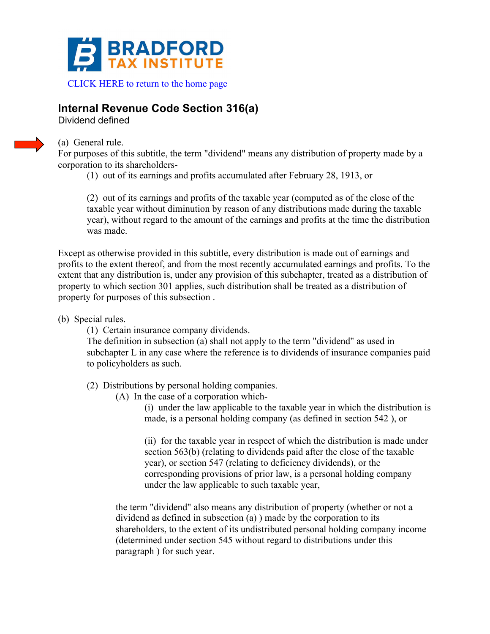

## **Internal Revenue Code Section 316(a)**

Dividend defined



(a) General rule.

For purposes of this subtitle, the term "dividend" means any distribution of property made by a corporation to its shareholders-

(1) out of its earnings and profits accumulated after February 28, 1913, or

(2) out of its earnings and profits of the taxable year (computed as of the close of the taxable year without diminution by reason of any distributions made during the taxable year), without regard to the amount of the earnings and profits at the time the distribution was made.

Except as otherwise provided in this subtitle, every distribution is made out of earnings and profits to the extent thereof, and from the most recently accumulated earnings and profits. To the extent that any distribution is, under any provision of this subchapter, treated as a distribution of property to which section 301 applies, such distribution shall be treated as a distribution of property for purposes of this subsection .

(b) Special rules.

(1) Certain insurance company dividends.

The definition in subsection (a) shall not apply to the term "dividend" as used in subchapter L in any case where the reference is to dividends of insurance companies paid to policyholders as such.

(2) Distributions by personal holding companies.

(A) In the case of a corporation which-

(i) under the law applicable to the taxable year in which the distribution is made, is a personal holding company (as defined in section 542 ), or

(ii) for the taxable year in respect of which the distribution is made under section 563(b) (relating to dividends paid after the close of the taxable year), or section 547 (relating to deficiency dividends), or the corresponding provisions of prior law, is a personal holding company under the law applicable to such taxable year,

the term "dividend" also means any distribution of property (whether or not a dividend as defined in subsection (a) ) made by the corporation to its shareholders, to the extent of its undistributed personal holding company income (determined under section 545 without regard to distributions under this paragraph ) for such year.